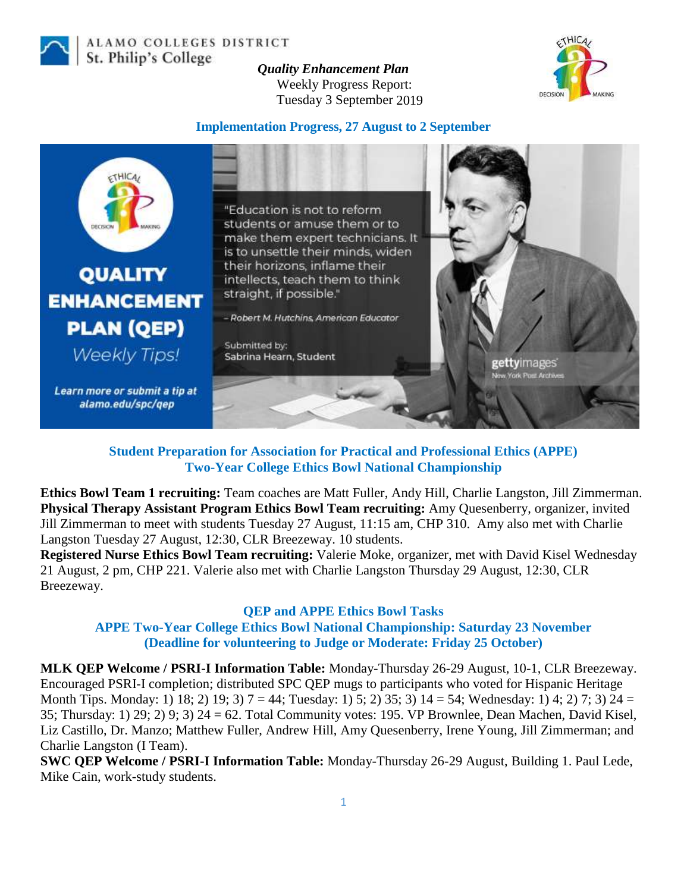

ALAMO COLLEGES DISTRICT St. Philip's College

*Quality Enhancement Plan* Weekly Progress Report: Tuesday 3 September 2019



### **Implementation Progress, 27 August to 2 September**



**Student Preparation for Association for Practical and Professional Ethics (APPE) Two-Year College Ethics Bowl National Championship**

**Ethics Bowl Team 1 recruiting:** Team coaches are Matt Fuller, Andy Hill, Charlie Langston, Jill Zimmerman. **Physical Therapy Assistant Program Ethics Bowl Team recruiting:** Amy Quesenberry, organizer, invited Jill Zimmerman to meet with students Tuesday 27 August, 11:15 am, CHP 310. Amy also met with Charlie Langston Tuesday 27 August, 12:30, CLR Breezeway. 10 students.

**Registered Nurse Ethics Bowl Team recruiting:** Valerie Moke, organizer, met with David Kisel Wednesday 21 August, 2 pm, CHP 221. Valerie also met with Charlie Langston Thursday 29 August, 12:30, CLR Breezeway.

### **QEP and APPE Ethics Bowl Tasks**

**APPE Two-Year College Ethics Bowl National Championship: Saturday 23 November (Deadline for volunteering to Judge or Moderate: Friday 25 October)**

**MLK QEP Welcome / PSRI-I Information Table:** Monday-Thursday 26-29 August, 10-1, CLR Breezeway. Encouraged PSRI-I completion; distributed SPC QEP mugs to participants who voted for Hispanic Heritage Month Tips. Monday: 1) 18; 2) 19; 3) 7 = 44; Tuesday: 1) 5; 2) 35; 3) 14 = 54; Wednesday: 1) 4; 2) 7; 3) 24 = 35; Thursday: 1) 29; 2) 9; 3) 24 = 62. Total Community votes: 195. VP Brownlee, Dean Machen, David Kisel, Liz Castillo, Dr. Manzo; Matthew Fuller, Andrew Hill, Amy Quesenberry, Irene Young, Jill Zimmerman; and Charlie Langston (I Team).

**SWC QEP Welcome / PSRI-I Information Table:** Monday-Thursday 26-29 August, Building 1. Paul Lede, Mike Cain, work-study students.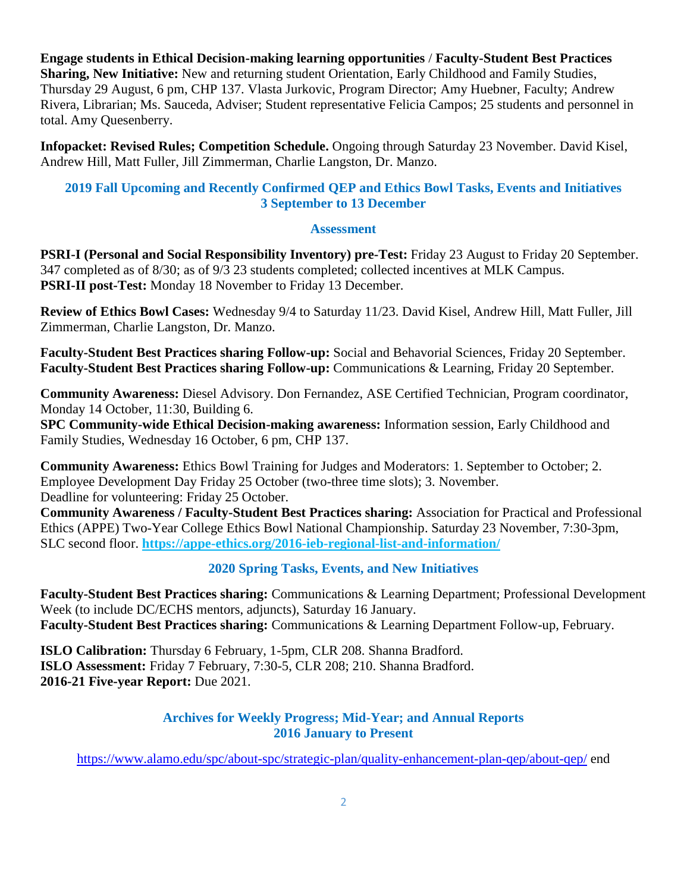**Engage students in Ethical Decision-making learning opportunities** / **Faculty-Student Best Practices Sharing, New Initiative:** New and returning student Orientation, Early Childhood and Family Studies, Thursday 29 August, 6 pm, CHP 137. Vlasta Jurkovic, Program Director; Amy Huebner, Faculty; Andrew Rivera, Librarian; Ms. Sauceda, Adviser; Student representative Felicia Campos; 25 students and personnel in total. Amy Quesenberry.

**Infopacket: Revised Rules; Competition Schedule.** Ongoing through Saturday 23 November. David Kisel, Andrew Hill, Matt Fuller, Jill Zimmerman, Charlie Langston, Dr. Manzo.

## **2019 Fall Upcoming and Recently Confirmed QEP and Ethics Bowl Tasks, Events and Initiatives 3 September to 13 December**

### **Assessment**

**PSRI-I (Personal and Social Responsibility Inventory) pre-Test:** Friday 23 August to Friday 20 September. 347 completed as of 8/30; as of 9/3 23 students completed; collected incentives at MLK Campus. **PSRI-II post-Test:** Monday 18 November to Friday 13 December.

**Review of Ethics Bowl Cases:** Wednesday 9/4 to Saturday 11/23. David Kisel, Andrew Hill, Matt Fuller, Jill Zimmerman, Charlie Langston, Dr. Manzo.

**Faculty-Student Best Practices sharing Follow-up:** Social and Behavorial Sciences, Friday 20 September. **Faculty-Student Best Practices sharing Follow-up:** Communications & Learning, Friday 20 September.

**Community Awareness:** Diesel Advisory. Don Fernandez, ASE Certified Technician, Program coordinator, Monday 14 October, 11:30, Building 6.

**SPC Community-wide Ethical Decision-making awareness:** Information session, Early Childhood and Family Studies, Wednesday 16 October, 6 pm, CHP 137.

**Community Awareness:** Ethics Bowl Training for Judges and Moderators: 1. September to October; 2. Employee Development Day Friday 25 October (two-three time slots); 3. November. Deadline for volunteering: Friday 25 October.

**Community Awareness / Faculty-Student Best Practices sharing:** Association for Practical and Professional Ethics (APPE) Two-Year College Ethics Bowl National Championship. Saturday 23 November, 7:30-3pm, SLC second floor. **<https://appe-ethics.org/2016-ieb-regional-list-and-information/>**

### **2020 Spring Tasks, Events, and New Initiatives**

**Faculty-Student Best Practices sharing:** Communications & Learning Department; Professional Development Week (to include DC/ECHS mentors, adjuncts), Saturday 16 January. **Faculty-Student Best Practices sharing:** Communications & Learning Department Follow-up, February.

**ISLO Calibration:** Thursday 6 February, 1-5pm, CLR 208. Shanna Bradford. **ISLO Assessment:** Friday 7 February, 7:30-5, CLR 208; 210. Shanna Bradford. **2016-21 Five-year Report:** Due 2021.

### **Archives for Weekly Progress; Mid-Year; and Annual Reports 2016 January to Present**

<https://www.alamo.edu/spc/about-spc/strategic-plan/quality-enhancement-plan-qep/about-qep/> end